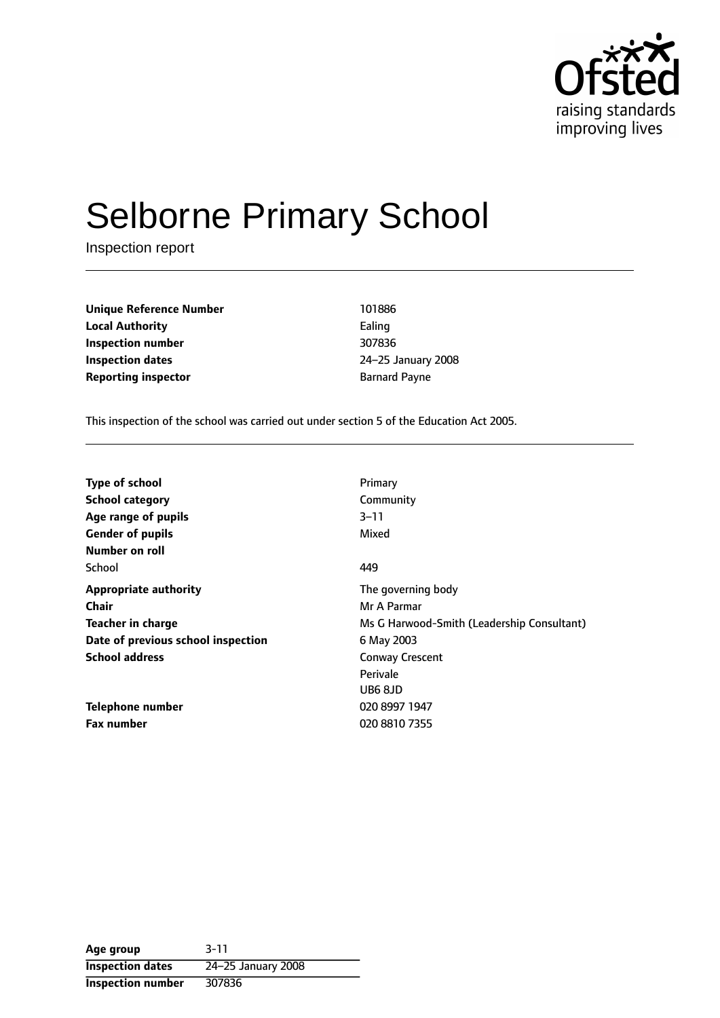

# Selborne Primary School

Inspection report

**Unique Reference Number** 101886 **Local Authority** Ealing **Inspection number** 307836 **Inspection dates** 24-25 January 2008 **Reporting inspector Barnard Payne** 

This inspection of the school was carried out under section 5 of the Education Act 2005.

| <b>Type of school</b>              | Primary                                    |
|------------------------------------|--------------------------------------------|
| <b>School category</b>             | Community                                  |
| Age range of pupils                | 3–11                                       |
| <b>Gender of pupils</b>            | Mixed                                      |
| Number on roll                     |                                            |
| School                             | 449                                        |
| <b>Appropriate authority</b>       | The governing body                         |
| Chair                              | Mr A Parmar                                |
| Teacher in charge                  | Ms G Harwood-Smith (Leadership Consultant) |
| Date of previous school inspection | 6 May 2003                                 |
| <b>School address</b>              | <b>Conway Crescent</b>                     |
|                                    | Perivale                                   |
|                                    | UB6 8JD                                    |
| Telephone number                   | 020 8997 1947                              |
| <b>Fax number</b>                  | 020 8810 7355                              |

**Age group** 3-11 **Inspection dates** 24-25 January 2008 **Inspection number** 307836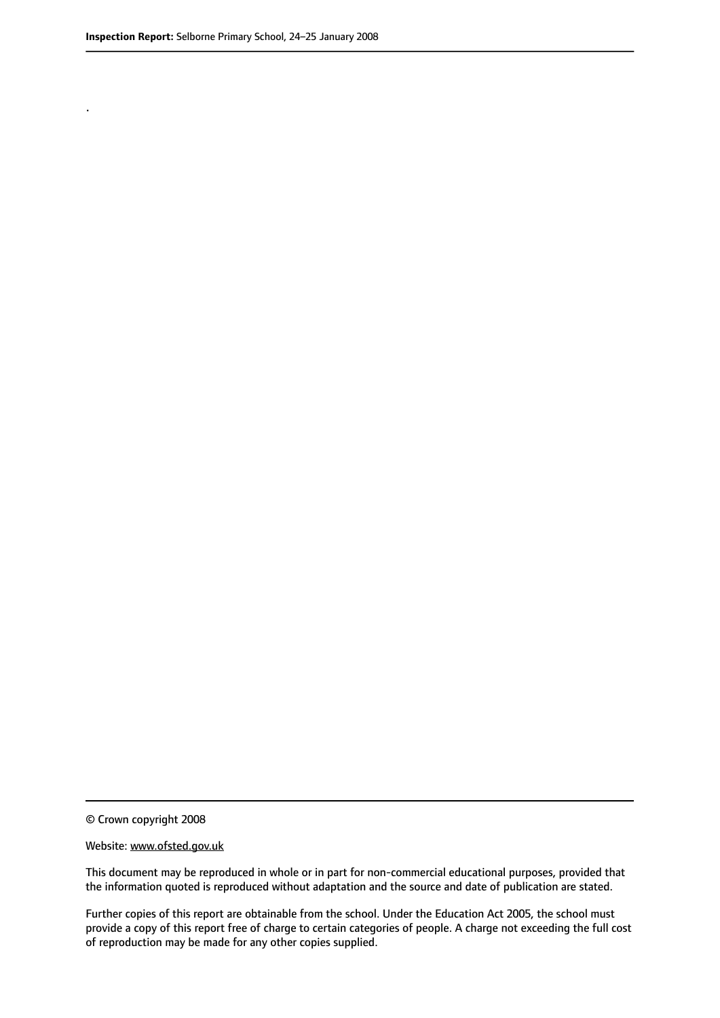.

© Crown copyright 2008

#### Website: www.ofsted.gov.uk

This document may be reproduced in whole or in part for non-commercial educational purposes, provided that the information quoted is reproduced without adaptation and the source and date of publication are stated.

Further copies of this report are obtainable from the school. Under the Education Act 2005, the school must provide a copy of this report free of charge to certain categories of people. A charge not exceeding the full cost of reproduction may be made for any other copies supplied.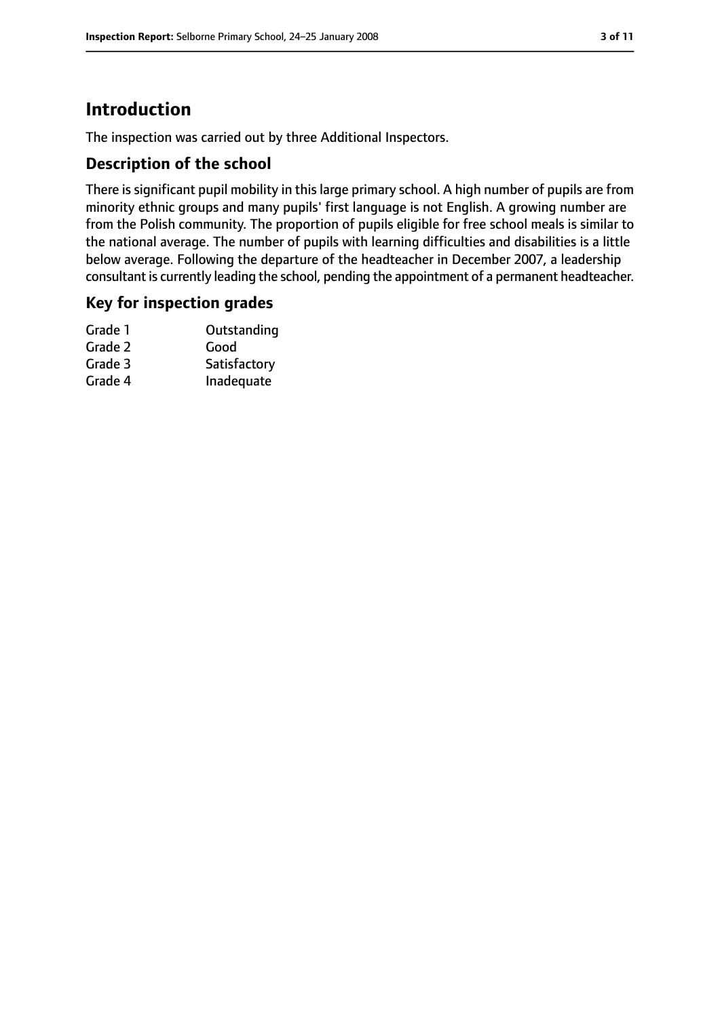# **Introduction**

The inspection was carried out by three Additional Inspectors.

# **Description of the school**

There is significant pupil mobility in this large primary school. A high number of pupils are from minority ethnic groups and many pupils' first language is not English. A growing number are from the Polish community. The proportion of pupils eligible for free school meals is similar to the national average. The number of pupils with learning difficulties and disabilities is a little below average. Following the departure of the headteacher in December 2007, a leadership consultant is currently leading the school, pending the appointment of a permanent headteacher.

## **Key for inspection grades**

| Grade 1 | Outstanding  |
|---------|--------------|
| Grade 2 | Good         |
| Grade 3 | Satisfactory |
| Grade 4 | Inadequate   |
|         |              |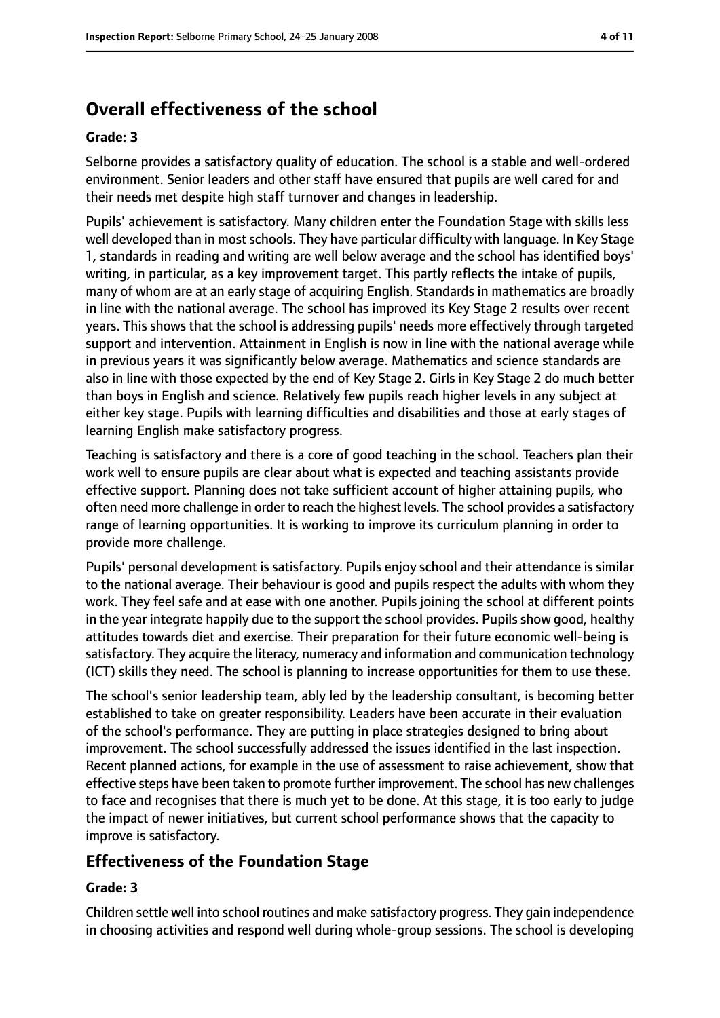# **Overall effectiveness of the school**

### **Grade: 3**

Selborne provides a satisfactory quality of education. The school is a stable and well-ordered environment. Senior leaders and other staff have ensured that pupils are well cared for and their needs met despite high staff turnover and changes in leadership.

Pupils' achievement is satisfactory. Many children enter the Foundation Stage with skills less well developed than in most schools. They have particular difficulty with language. In Key Stage 1, standards in reading and writing are well below average and the school has identified boys' writing, in particular, as a key improvement target. This partly reflects the intake of pupils, many of whom are at an early stage of acquiring English. Standards in mathematics are broadly in line with the national average. The school has improved its Key Stage 2 results over recent years. This shows that the school is addressing pupils' needs more effectively through targeted support and intervention. Attainment in English is now in line with the national average while in previous years it was significantly below average. Mathematics and science standards are also in line with those expected by the end of Key Stage 2. Girls in Key Stage 2 do much better than boys in English and science. Relatively few pupils reach higher levels in any subject at either key stage. Pupils with learning difficulties and disabilities and those at early stages of learning English make satisfactory progress.

Teaching is satisfactory and there is a core of good teaching in the school. Teachers plan their work well to ensure pupils are clear about what is expected and teaching assistants provide effective support. Planning does not take sufficient account of higher attaining pupils, who often need more challenge in order to reach the highest levels. The school provides a satisfactory range of learning opportunities. It is working to improve its curriculum planning in order to provide more challenge.

Pupils' personal development is satisfactory. Pupils enjoy school and their attendance is similar to the national average. Their behaviour is good and pupils respect the adults with whom they work. They feel safe and at ease with one another. Pupils joining the school at different points in the year integrate happily due to the support the school provides. Pupils show good, healthy attitudes towards diet and exercise. Their preparation for their future economic well-being is satisfactory. They acquire the literacy, numeracy and information and communication technology (ICT) skills they need. The school is planning to increase opportunities for them to use these.

The school's senior leadership team, ably led by the leadership consultant, is becoming better established to take on greater responsibility. Leaders have been accurate in their evaluation of the school's performance. They are putting in place strategies designed to bring about improvement. The school successfully addressed the issues identified in the last inspection. Recent planned actions, for example in the use of assessment to raise achievement, show that effective steps have been taken to promote further improvement. The school has new challenges to face and recognises that there is much yet to be done. At this stage, it is too early to judge the impact of newer initiatives, but current school performance shows that the capacity to improve is satisfactory.

# **Effectiveness of the Foundation Stage**

## **Grade: 3**

Children settle well into school routines and make satisfactory progress. They gain independence in choosing activities and respond well during whole-group sessions. The school is developing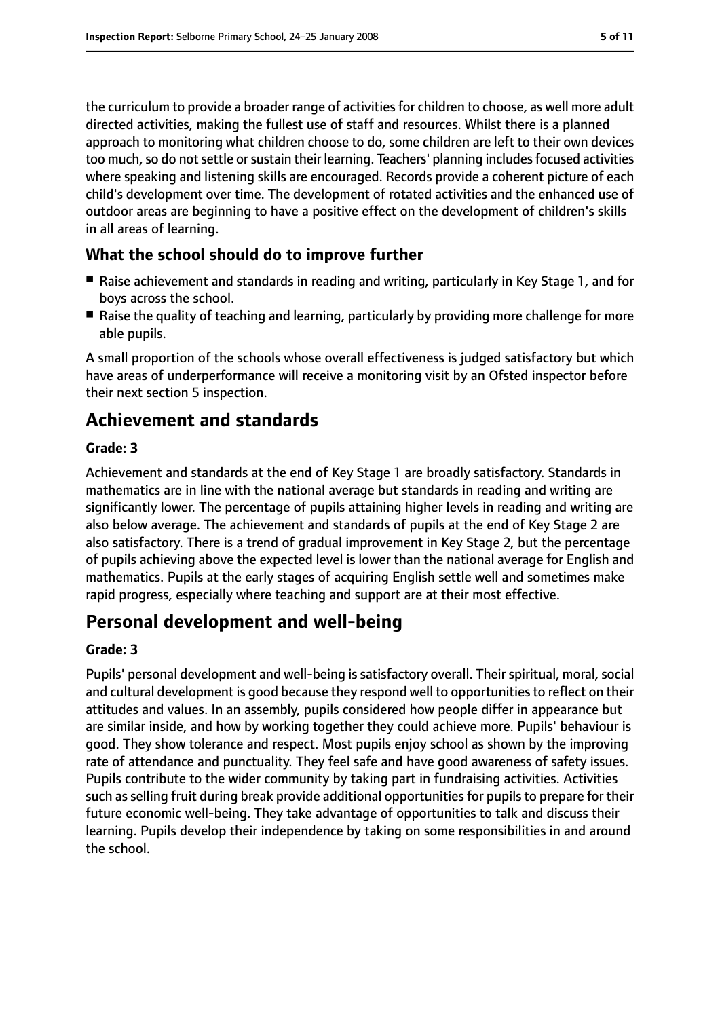the curriculum to provide a broader range of activities for children to choose, as well more adult directed activities, making the fullest use of staff and resources. Whilst there is a planned approach to monitoring what children choose to do, some children are left to their own devices too much, so do not settle or sustain their learning. Teachers' planning includes focused activities where speaking and listening skills are encouraged. Records provide a coherent picture of each child's development over time. The development of rotated activities and the enhanced use of outdoor areas are beginning to have a positive effect on the development of children's skills in all areas of learning.

# **What the school should do to improve further**

- Raise achievement and standards in reading and writing, particularly in Key Stage 1, and for boys across the school.
- Raise the quality of teaching and learning, particularly by providing more challenge for more able pupils.

A small proportion of the schools whose overall effectiveness is judged satisfactory but which have areas of underperformance will receive a monitoring visit by an Ofsted inspector before their next section 5 inspection.

# **Achievement and standards**

## **Grade: 3**

Achievement and standards at the end of Key Stage 1 are broadly satisfactory. Standards in mathematics are in line with the national average but standards in reading and writing are significantly lower. The percentage of pupils attaining higher levels in reading and writing are also below average. The achievement and standards of pupils at the end of Key Stage 2 are also satisfactory. There is a trend of gradual improvement in Key Stage 2, but the percentage of pupils achieving above the expected level is lower than the national average for English and mathematics. Pupils at the early stages of acquiring English settle well and sometimes make rapid progress, especially where teaching and support are at their most effective.

# **Personal development and well-being**

## **Grade: 3**

Pupils' personal development and well-being is satisfactory overall. Their spiritual, moral, social and cultural development is good because they respond well to opportunitiesto reflect on their attitudes and values. In an assembly, pupils considered how people differ in appearance but are similar inside, and how by working together they could achieve more. Pupils' behaviour is good. They show tolerance and respect. Most pupils enjoy school as shown by the improving rate of attendance and punctuality. They feel safe and have good awareness of safety issues. Pupils contribute to the wider community by taking part in fundraising activities. Activities such as selling fruit during break provide additional opportunities for pupils to prepare for their future economic well-being. They take advantage of opportunities to talk and discuss their learning. Pupils develop their independence by taking on some responsibilities in and around the school.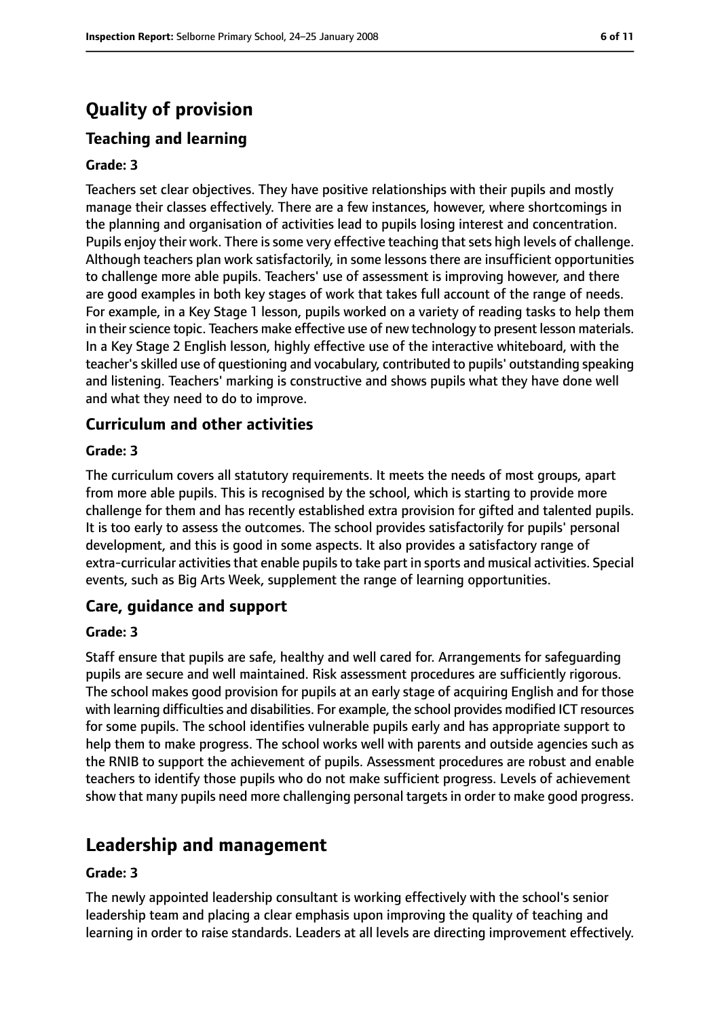# **Quality of provision**

# **Teaching and learning**

#### **Grade: 3**

Teachers set clear objectives. They have positive relationships with their pupils and mostly manage their classes effectively. There are a few instances, however, where shortcomings in the planning and organisation of activities lead to pupils losing interest and concentration. Pupils enjoy their work. There is some very effective teaching that sets high levels of challenge. Although teachers plan work satisfactorily, in some lessons there are insufficient opportunities to challenge more able pupils. Teachers' use of assessment is improving however, and there are good examples in both key stages of work that takes full account of the range of needs. For example, in a Key Stage 1 lesson, pupils worked on a variety of reading tasks to help them in their science topic. Teachers make effective use of new technology to present lesson materials. In a Key Stage 2 English lesson, highly effective use of the interactive whiteboard, with the teacher's skilled use of questioning and vocabulary, contributed to pupils' outstanding speaking and listening. Teachers' marking is constructive and shows pupils what they have done well and what they need to do to improve.

## **Curriculum and other activities**

#### **Grade: 3**

The curriculum covers all statutory requirements. It meets the needs of most groups, apart from more able pupils. This is recognised by the school, which is starting to provide more challenge for them and has recently established extra provision for gifted and talented pupils. It is too early to assess the outcomes. The school provides satisfactorily for pupils' personal development, and this is good in some aspects. It also provides a satisfactory range of extra-curricular activities that enable pupils to take part in sports and musical activities. Special events, such as Big Arts Week, supplement the range of learning opportunities.

## **Care, guidance and support**

#### **Grade: 3**

Staff ensure that pupils are safe, healthy and well cared for. Arrangements for safeguarding pupils are secure and well maintained. Risk assessment procedures are sufficiently rigorous. The school makes good provision for pupils at an early stage of acquiring English and for those with learning difficulties and disabilities. For example, the school provides modified ICT resources for some pupils. The school identifies vulnerable pupils early and has appropriate support to help them to make progress. The school works well with parents and outside agencies such as the RNIB to support the achievement of pupils. Assessment procedures are robust and enable teachers to identify those pupils who do not make sufficient progress. Levels of achievement show that many pupils need more challenging personal targets in order to make good progress.

# **Leadership and management**

#### **Grade: 3**

The newly appointed leadership consultant is working effectively with the school's senior leadership team and placing a clear emphasis upon improving the quality of teaching and learning in order to raise standards. Leaders at all levels are directing improvement effectively.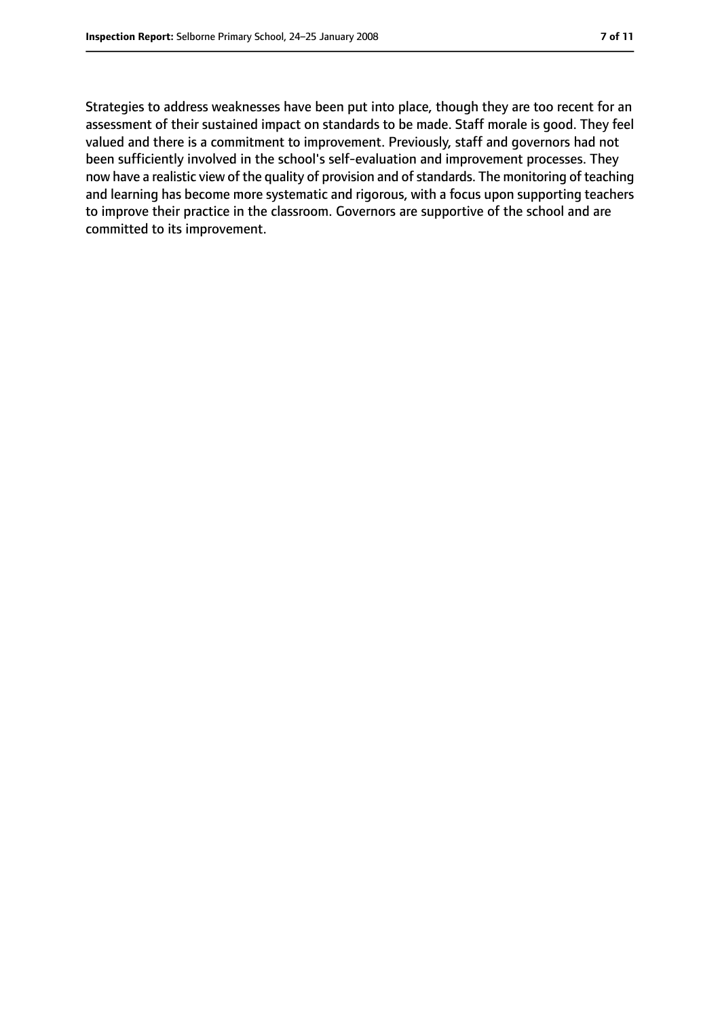Strategies to address weaknesses have been put into place, though they are too recent for an assessment of their sustained impact on standards to be made. Staff morale is good. They feel valued and there is a commitment to improvement. Previously, staff and governors had not been sufficiently involved in the school's self-evaluation and improvement processes. They now have a realistic view of the quality of provision and of standards. The monitoring of teaching and learning has become more systematic and rigorous, with a focus upon supporting teachers to improve their practice in the classroom. Governors are supportive of the school and are committed to its improvement.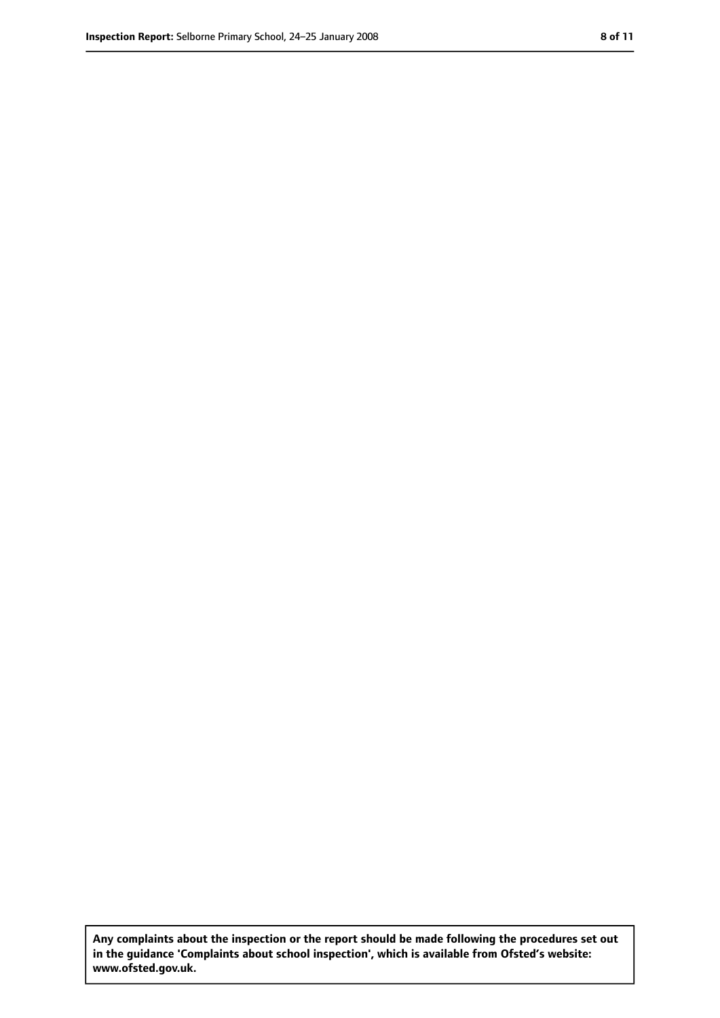**Any complaints about the inspection or the report should be made following the procedures set out in the guidance 'Complaints about school inspection', which is available from Ofsted's website: www.ofsted.gov.uk.**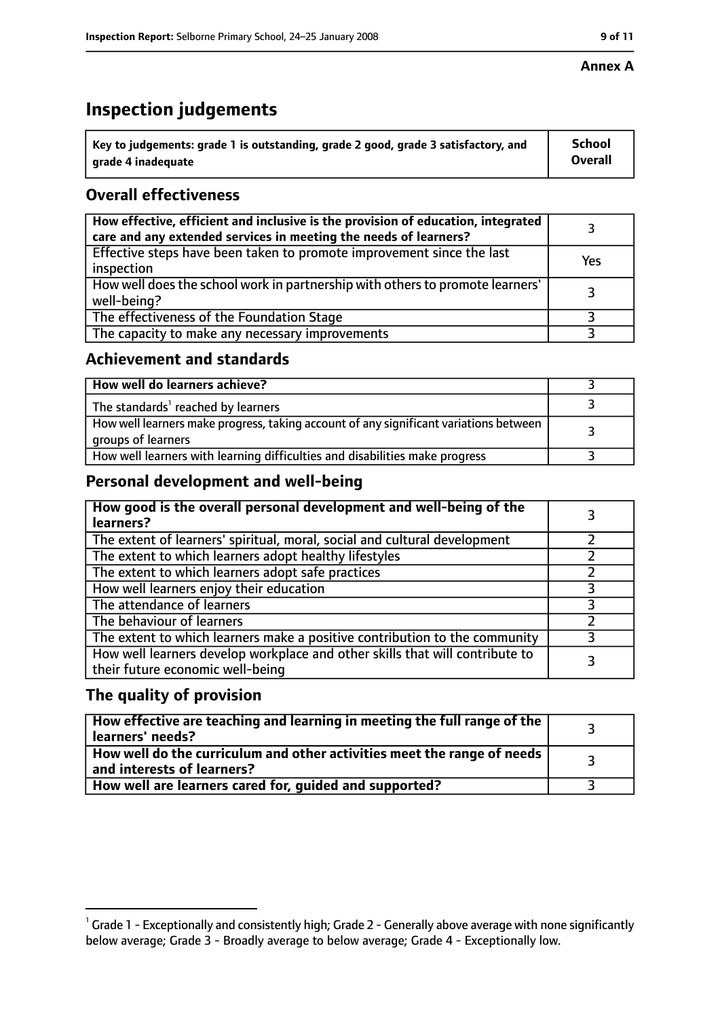## **Annex A**

# **Inspection judgements**

| $^{\circ}$ Key to judgements: grade 1 is outstanding, grade 2 good, grade 3 satisfactory, and | School         |
|-----------------------------------------------------------------------------------------------|----------------|
| arade 4 inadequate                                                                            | <b>Overall</b> |

# **Overall effectiveness**

| How effective, efficient and inclusive is the provision of education, integrated<br>care and any extended services in meeting the needs of learners? |     |
|------------------------------------------------------------------------------------------------------------------------------------------------------|-----|
| Effective steps have been taken to promote improvement since the last<br>inspection                                                                  | Yes |
| How well does the school work in partnership with others to promote learners'<br>well-being?                                                         |     |
| The effectiveness of the Foundation Stage                                                                                                            |     |
| The capacity to make any necessary improvements                                                                                                      |     |

# **Achievement and standards**

| How well do learners achieve?                                                                               |  |
|-------------------------------------------------------------------------------------------------------------|--|
| The standards <sup>1</sup> reached by learners                                                              |  |
| How well learners make progress, taking account of any significant variations between<br>groups of learners |  |
| How well learners with learning difficulties and disabilities make progress                                 |  |

# **Personal development and well-being**

| How good is the overall personal development and well-being of the<br>learners?                                  |  |
|------------------------------------------------------------------------------------------------------------------|--|
| The extent of learners' spiritual, moral, social and cultural development                                        |  |
| The extent to which learners adopt healthy lifestyles                                                            |  |
| The extent to which learners adopt safe practices                                                                |  |
| How well learners enjoy their education                                                                          |  |
| The attendance of learners                                                                                       |  |
| The behaviour of learners                                                                                        |  |
| The extent to which learners make a positive contribution to the community                                       |  |
| How well learners develop workplace and other skills that will contribute to<br>their future economic well-being |  |

# **The quality of provision**

| How effective are teaching and learning in meeting the full range of the<br>learners' needs?          |  |
|-------------------------------------------------------------------------------------------------------|--|
| How well do the curriculum and other activities meet the range of needs<br>and interests of learners? |  |
| How well are learners cared for, guided and supported?                                                |  |

 $^1$  Grade 1 - Exceptionally and consistently high; Grade 2 - Generally above average with none significantly below average; Grade 3 - Broadly average to below average; Grade 4 - Exceptionally low.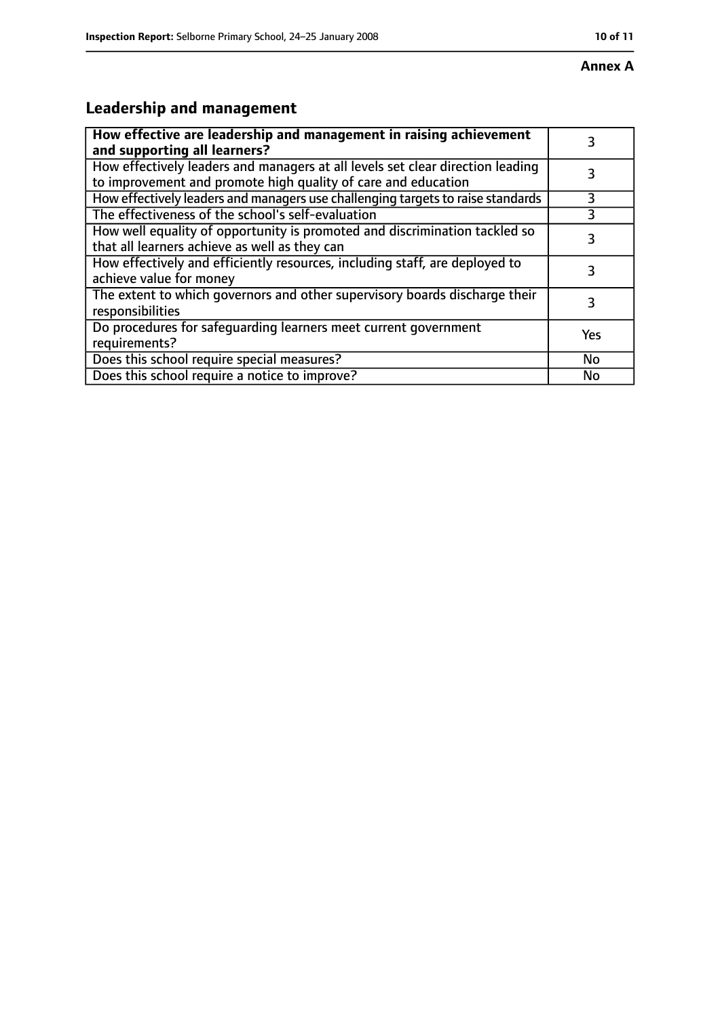# **Leadership and management**

| How effective are leadership and management in raising achievement<br>and supporting all learners?                                              |     |
|-------------------------------------------------------------------------------------------------------------------------------------------------|-----|
| How effectively leaders and managers at all levels set clear direction leading<br>to improvement and promote high quality of care and education |     |
| How effectively leaders and managers use challenging targets to raise standards                                                                 | 3   |
| The effectiveness of the school's self-evaluation                                                                                               |     |
| How well equality of opportunity is promoted and discrimination tackled so<br>that all learners achieve as well as they can                     | 3   |
| How effectively and efficiently resources, including staff, are deployed to<br>achieve value for money                                          | 3   |
| The extent to which governors and other supervisory boards discharge their<br>responsibilities                                                  | 3   |
| Do procedures for safequarding learners meet current government<br>requirements?                                                                | Yes |
| Does this school require special measures?                                                                                                      | No  |
| Does this school require a notice to improve?                                                                                                   | No  |